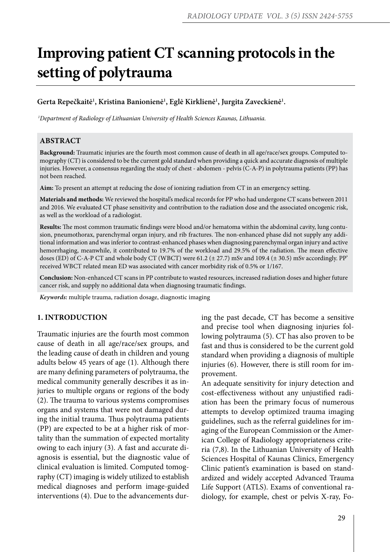# **Improving patient CT scanning protocols in the setting of polytrauma**

## $\mathbf{G}$ erta Repečkaitė<sup>1</sup>, Kristina Banionienė<sup>1</sup>, Eglė Kirklienė<sup>1</sup>, Jurgita Zaveckienė<sup>1</sup>.

 *1Department of Radiology of Lithuanian University of Health Sciences Kaunas, Lithuania.*

## **ABSTRACT**

**Background:** Traumatic injuries are the fourth most common cause of death in all age/race/sex groups. Computed tomography (CT) is considered to be the current gold standard when providing a quick and accurate diagnosis of multiple injuries. However, a consensus regarding the study of chest - abdomen - pelvis (C-A-P) in polytrauma patients (PP) has not been reached.

**Aim:** To present an attempt at reducing the dose of ionizing radiation from CT in an emergency setting.

**Materials and methods:** We reviewed the hospital's medical records for PP who had undergone CT scans between 2011 and 2016. We evaluated CT phase sensitivity and contribution to the radiation dose and the associated oncogenic risk, as well as the workload of a radiologist.

**Results:** The most common traumatic findings were blood and/or hematoma within the abdominal cavity, lung contusion, pneumothorax, parenchymal organ injury, and rib fractures. The non-enhanced phase did not supply any additional information and was inferior to contrast-enhanced phases when diagnosing parenchymal organ injury and active hemorrhaging, meanwhile, it contributed to 19.7% of the workload and 29.5% of the radiation. The mean effective doses (ED) of C-A-P CT and whole body CT (WBCT) were 61.2 (± 27.7) mSv and 109.4 (± 30.5) mSv accordingly. PP' received WBCT related mean ED was associated with cancer morbidity risk of 0.5% or 1/167.

**Conclusion:** Non-enhanced CT scans in PP contribute to wasted resources, increased radiation doses and higher future cancer risk, and supply no additional data when diagnosing traumatic findings.

*Keywords:* multiple trauma, radiation dosage, diagnostic imaging

#### **1. INTRODUCTION**

Traumatic injuries are the fourth most common cause of death in all age/race/sex groups, and the leading cause of death in children and young adults below 45 years of age (1). Although there are many defining parameters of polytrauma, the medical community generally describes it as injuries to multiple organs or regions of the body (2). The trauma to various systems compromises organs and systems that were not damaged during the initial trauma. Thus polytrauma patients (PP) are expected to be at a higher risk of mortality than the summation of expected mortality owing to each injury (3). A fast and accurate diagnosis is essential, but the diagnostic value of clinical evaluation is limited. Computed tomography (CT) imaging is widely utilized to establish medical diagnoses and perform image-guided interventions (4). Due to the advancements during the past decade, CT has become a sensitive and precise tool when diagnosing injuries following polytrauma (5). CT has also proven to be fast and thus is considered to be the current gold standard when providing a diagnosis of multiple injuries (6). However, there is still room for improvement.

An adequate sensitivity for injury detection and cost-effectiveness without any unjustified radiation has been the primary focus of numerous attempts to develop optimized trauma imaging guidelines, such as the referral guidelines for imaging of the European Commission or the American College of Radiology appropriateness criteria (7,8). In the Lithuanian University of Health Sciences Hospital of Kaunas Clinics, Emergency Clinic patient's examination is based on standardized and widely accepted Advanced Trauma Life Support (ATLS). Exams of conventional radiology, for example, chest or pelvis X-ray, Fo-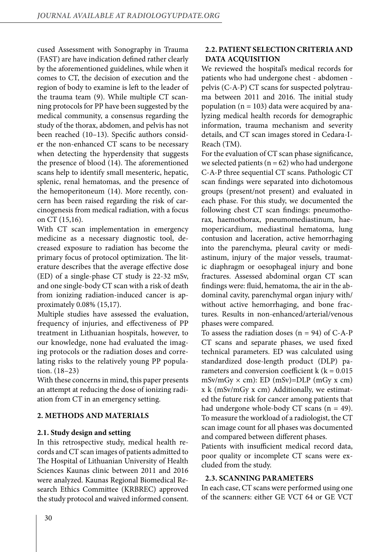cused Assessment with Sonography in Trauma (FAST) are have indication defined rather clearly by the aforementioned guidelines, while when it comes to CT, the decision of execution and the region of body to examine is left to the leader of the trauma team (9). While multiple CT scanning protocols for PP have been suggested by the medical community, a consensus regarding the study of the thorax, abdomen, and pelvis has not been reached (10–13). Specific authors consider the non-enhanced CT scans to be necessary when detecting the hyperdensity that suggests the presence of blood (14). The aforementioned scans help to identify small mesenteric, hepatic, splenic, renal hematomas, and the presence of the hemoperitoneum (14). More recently, concern has been raised regarding the risk of carcinogenesis from medical radiation, with a focus on CT (15,16).

With CT scan implementation in emergency medicine as a necessary diagnostic tool, decreased exposure to radiation has become the primary focus of protocol optimization. The literature describes that the average effective dose (ED) of a single-phase CT study is 22-32 mSv, and one single-body CT scan with a risk of death from ionizing radiation-induced cancer is approximately 0.08% (15,17).

Multiple studies have assessed the evaluation, frequency of injuries, and effectiveness of PP treatment in Lithuanian hospitals, however, to our knowledge, none had evaluated the imaging protocols or the radiation doses and correlating risks to the relatively young PP population. (18–23)

With these concerns in mind, this paper presents an attempt at reducing the dose of ionizing radiation from CT in an emergency setting.

## **2. METHODS AND MATERIALS**

### **2.1. Study design and setting**

In this retrospective study, medical health records and CT scan images of patients admitted to The Hospital of Lithuanian University of Health Sciences Kaunas clinic between 2011 and 2016 were analyzed. Kaunas Regional Biomedical Research Ethics Committee (KRBREC) approved the study protocol and waived informed consent.

## **2.2. PATIENT SELECTION CRITERIA AND DATA ACQUISITION**

We reviewed the hospital's medical records for patients who had undergone chest - abdomen pelvis (C-A-P) CT scans for suspected polytrauma between 2011 and 2016. The initial study population ( $n = 103$ ) data were acquired by analyzing medical health records for demographic information, trauma mechanism and severity details, and CT scan images stored in Cedara-I-Reach (TM).

For the evaluation of CT scan phase significance, we selected patients ( $n = 62$ ) who had undergone C-A-P three sequential CT scans. Pathologic CT scan findings were separated into dichotomous groups (present/not present) and evaluated in each phase. For this study, we documented the following chest CT scan findings: pneumothorax, haemothorax, pneumomediastinum, haemopericardium, mediastinal hematoma, lung contusion and laceration, active hemorrhaging into the parenchyma, pleural cavity or mediastinum, injury of the major vessels, traumatic diaphragm or oesophageal injury and bone fractures. Assessed abdominal organ CT scan findings were: fluid, hematoma, the air in the abdominal cavity, parenchymal organ injury with/ without active hemorrhaging, and bone fractures. Results in non-enhanced/arterial/venous phases were compared.

To assess the radiation doses  $(n = 94)$  of C-A-P CT scans and separate phases, we used fixed technical parameters. ED was calculated using standardized dose-length product (DLP) parameters and conversion coefficient  $k$  ( $k = 0.015$ )  $mSv/mGy \times cm$ : ED  $(mSv)=DLP$   $(mGy x cm)$ x k (mSv/mGy x cm) Additionally, we estimated the future risk for cancer among patients that had undergone whole-body CT scans  $(n = 49)$ . To measure the workload of a radiologist, the CT scan image count for all phases was documented and compared between different phases.

Patients with insufficient medical record data, poor quality or incomplete CT scans were excluded from the study.

## **2.3. SCANNING PARAMETERS**

In each case, CT scans were performed using one of the scanners: either GE VCT 64 or GE VCT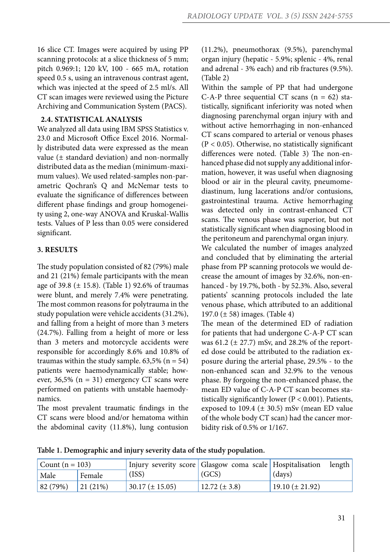16 slice CT. Images were acquired by using PP scanning protocols: at a slice thickness of 5 mm; pitch 0.969:1; 120 kV, 100 - 665 mA, rotation speed 0.5 s, using an intravenous contrast agent, which was injected at the speed of 2.5 ml/s. All CT scan images were reviewed using the Picture Archiving and Communication System (PACS).

## **2.4. STATISTICAL ANALYSIS**

We analyzed all data using IBM SPSS Statistics v. 23.0 and Microsoft Office Excel 2016. Normally distributed data were expressed as the mean value (± standard deviation) and non-normally distributed data as the median (minimum-maximum values). We used related-samples non-parametric Qochran's Q and McNemar tests to evaluate the significance of differences between different phase findings and group homogeneity using 2, one-way ANOVA and Kruskal-Wallis tests. Values of P less than 0.05 were considered significant.

#### **3. RESULTS**

The study population consisted of 82 (79%) male and 21 (21%) female participants with the mean age of 39.8 (± 15.8). (Table 1) 92.6% of traumas were blunt, and merely 7.4% were penetrating. The most common reasons for polytrauma in the study population were vehicle accidents (31.2%), and falling from a height of more than 3 meters (24.7%). Falling from a height of more or less than 3 meters and motorcycle accidents were responsible for accordingly 8.6% and 10.8% of traumas within the study sample.  $63,5\%$  (n = 54) patients were haemodynamically stable; however,  $36,5\%$  (n = 31) emergency CT scans were performed on patients with unstable haemodynamics.

The most prevalent traumatic findings in the CT scans were blood and/or hematoma within the abdominal cavity (11.8%), lung contusion

(11.2%), pneumothorax (9.5%), parenchymal organ injury (hepatic - 5.9%; splenic - 4%, renal and adrenal - 3% each) and rib fractures (9.5%). (Table 2)

Within the sample of PP that had undergone C-A-P three sequential CT scans  $(n = 62)$  statistically, significant inferiority was noted when diagnosing parenchymal organ injury with and without active hemorrhaging in non-enhanced CT scans compared to arterial or venous phases  $(P < 0.05)$ . Otherwise, no statistically significant differences were noted. (Table 3) The non-enhanced phase did not supply any additional information, however, it was useful when diagnosing blood or air in the pleural cavity, pneumomediastinum, lung lacerations and/or contusions, gastrointestinal trauma. Active hemorrhaging was detected only in contrast-enhanced CT scans. The venous phase was superior, but not statistically significant when diagnosing blood in the peritoneum and parenchymal organ injury.

We calculated the number of images analyzed and concluded that by eliminating the arterial phase from PP scanning protocols we would decrease the amount of images by 32.6%, non-enhanced - by 19.7%, both - by 52.3%. Also, several patients' scanning protocols included the late venous phase, which attributed to an additional 197.0 (± 58) images. (Table 4)

The mean of the determined ED of radiation for patients that had undergone C-A-P CT scan was 61.2 ( $\pm$  27.7) mSv, and 28.2% of the reported dose could be attributed to the radiation exposure during the arterial phase, 29.5% - to the non-enhanced scan and 32.9% to the venous phase. By forgoing the non-enhanced phase, the mean ED value of C-A-P CT scan becomes statistically significantly lower ( $P < 0.001$ ). Patients, exposed to 109.4 ( $\pm$  30.5) mSv (mean ED value of the whole body CT scan) had the cancer morbidity risk of 0.5% or 1/167.

**Table 1. Demographic and injury severity data of the study population.** 

| Count $(n = 103)$ |         | Injury severity score   Glasgow coma scale   Hospitalisation |                     |                     | length |
|-------------------|---------|--------------------------------------------------------------|---------------------|---------------------|--------|
| Male              | Female  | (ISS)                                                        | (GCS)               | (days)              |        |
| 82(79%)           | 21(21%) | $30.17 (\pm 15.05)$                                          | $12.72 \ (\pm 3.8)$ | $19.10 (\pm 21.92)$ |        |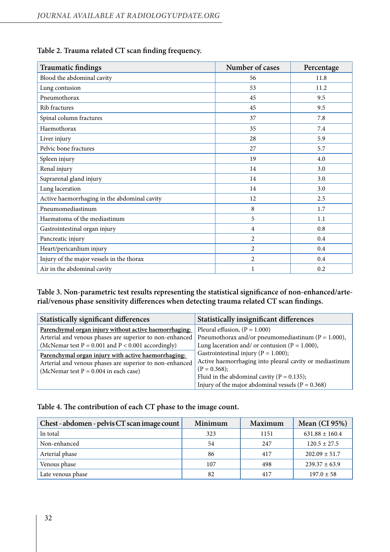| <b>Traumatic findings</b>                    | Number of cases | Percentage |  |
|----------------------------------------------|-----------------|------------|--|
| Blood the abdominal cavity                   | 56              | 11.8       |  |
| Lung contusion                               | 53              | 11.2       |  |
| Pneumothorax                                 | 45              | 9.5        |  |
| Rib fractures                                | 45              | 9.5        |  |
| Spinal column fractures                      | 37              | 7.8        |  |
| Haemothorax                                  | 35              | 7.4        |  |
| Liver injury                                 | 28              | 5.9        |  |
| Pelvic bone fractures                        | 27              | 5.7        |  |
| Spleen injury                                | 19              | 4.0        |  |
| Renal injury                                 | 14              | 3.0        |  |
| Suprarenal gland injury                      | 14              | 3.0        |  |
| Lung laceration                              | 14              | 3.0        |  |
| Active haemorrhaging in the abdominal cavity | 12              | 2.5        |  |
| Pneumomediastinum                            | 8               | 1.7        |  |
| Haematoma of the mediastinum                 | 5               | 1.1        |  |
| Gastrointestinal organ injury                | 4               | 0.8        |  |
| Pancreatic injury                            | $\overline{c}$  | 0.4        |  |
| Heart/pericardium injury                     | $\overline{c}$  | 0.4        |  |
| Injury of the major vessels in the thorax    | $\overline{2}$  | 0.4        |  |
| Air in the abdominal cavity                  | 1               | 0.2        |  |

## **Table 2. Trauma related CT scan finding frequency.**

**Table 3. Non-parametric test results representing the statistical significance of non-enhanced/arterial/venous phase sensitivity differences when detecting trauma related CT scan findings.**

| <b>Statistically significant differences</b>                                                                                                                                | <b>Statistically insignificant differences</b>                                                                                                                                                                                   |  |
|-----------------------------------------------------------------------------------------------------------------------------------------------------------------------------|----------------------------------------------------------------------------------------------------------------------------------------------------------------------------------------------------------------------------------|--|
| Parenchymal organ injury without active haemorrhaging:<br>Arterial and venous phases are superior to non-enhanced<br>(McNemar test $P = 0.001$ and $P < 0.001$ accordingly) | Pleural effusion, $(P = 1.000)$<br>Pneumothorax and/or pneumomediastinum ( $P = 1.000$ ),<br>Lung laceration and/ or contusion ( $P = 1.000$ ),                                                                                  |  |
| Parenchymal organ injury with active haemorrhaging:<br>Arterial and venous phases are superior to non-enhanced<br>(McNemar test $P = 0.004$ in each case)                   | Gastrointestinal injury ( $P = 1.000$ );<br>Active haemorrhaging into pleural cavity or mediastinum<br>$(P = 0.368);$<br>Fluid in the abdominal cavity ( $P = 0.135$ );<br>Injury of the major abdominal vessels ( $P = 0.368$ ) |  |

## **Table 4. The contribution of each CT phase to the image count.**

| Chest - abdomen - pelvis CT scan image count | Minimum | Maximum | Mean $(CI 95%)$    |
|----------------------------------------------|---------|---------|--------------------|
| In total                                     | 323     | 1151    | $631.88 \pm 160.4$ |
| Non-enhanced                                 | 54      | 247     | $120.5 \pm 27.5$   |
| Arterial phase                               | 86      | 417     | $202.09 \pm 51.7$  |
| Venous phase                                 | 107     | 498     | $239.37 \pm 63.9$  |
| Late venous phase                            | 82      | 417     | $197.0 \pm 58$     |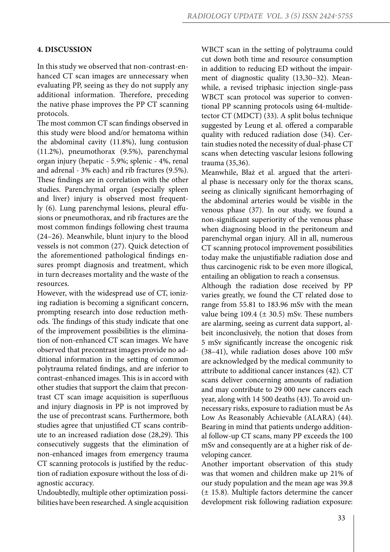#### **4. DISCUSSION**

In this study we observed that non-contrast-enhanced CT scan images are unnecessary when evaluating PP, seeing as they do not supply any additional information. Therefore, preceding the native phase improves the PP CT scanning protocols.

The most common CT scan findings observed in this study were blood and/or hematoma within the abdominal cavity (11.8%), lung contusion (11.2%), pneumothorax (9.5%), parenchymal organ injury (hepatic - 5.9%; splenic - 4%, renal and adrenal - 3% each) and rib fractures (9.5%). These findings are in correlation with the other studies. Parenchymal organ (especially spleen and liver) injury is observed most frequently (6). Lung parenchymal lesions, pleural effusions or pneumothorax, and rib fractures are the most common findings following chest trauma (24–26). Meanwhile, blunt injury to the blood vessels is not common (27). Quick detection of the aforementioned pathological findings ensures prompt diagnosis and treatment, which in turn decreases mortality and the waste of the resources.

However, with the widespread use of CT, ionizing radiation is becoming a significant concern, prompting research into dose reduction methods. The findings of this study indicate that one of the improvement possibilities is the elimination of non-enhanced CT scan images. We have observed that precontrast images provide no additional information in the setting of common polytrauma related findings, and are inferior to contrast-enhanced images. This is in accord with other studies that support the claim that precontrast CT scan image acquisition is superfluous and injury diagnosis in PP is not improved by the use of precontrast scans. Furthermore, both studies agree that unjustified CT scans contribute to an increased radiation dose (28,29). This consecutively suggests that the elimination of non-enhanced images from emergency trauma CT scanning protocols is justified by the reduction of radiation exposure without the loss of diagnostic accuracy.

Undoubtedly, multiple other optimization possibilities have been researched. A single acquisition WBCT scan in the setting of polytrauma could cut down both time and resource consumption in addition to reducing ED without the impairment of diagnostic quality (13,30–32). Meanwhile, a revised triphasic injection single-pass WBCT scan protocol was superior to conventional PP scanning protocols using 64-multidetector CT (MDCT) (33). A split bolus technique suggested by Leung et al. offered a comparable quality with reduced radiation dose (34). Certain studies noted the necessity of dual-phase CT scans when detecting vascular lesions following trauma (35,36).

Meanwhile, Błaż et al. argued that the arterial phase is necessary only for the thorax scans, seeing as clinically significant hemorrhaging of the abdominal arteries would be visible in the venous phase (37). In our study, we found a non-significant superiority of the venous phase when diagnosing blood in the peritoneum and parenchymal organ injury. All in all, numerous CT scanning protocol improvement possibilities today make the unjustifiable radiation dose and thus carcinogenic risk to be even more illogical, entailing an obligation to reach a consensus.

Although the radiation dose received by PP varies greatly, we found the CT related dose to range from 55.81 to 183.96 mSv with the mean value being 109.4 ( $\pm$  30.5) mSv. These numbers are alarming, seeing as current data support, albeit inconclusively, the notion that doses from 5 mSv significantly increase the oncogenic risk (38–41), while radiation doses above 100 mSv are acknowledged by the medical community to attribute to additional cancer instances (42). CT scans deliver concerning amounts of radiation and may contribute to 29 000 new cancers each year, along with 14 500 deaths (43). To avoid unnecessary risks, exposure to radiation must be As Low As Reasonably Achievable (ALARA) (44). Bearing in mind that patients undergo additional follow-up CT scans, many PP exceeds the 100 mSv and consequently are at a higher risk of developing cancer.

Another important observation of this study was that women and children make up 21% of our study population and the mean age was 39.8 (± 15.8). Multiple factors determine the cancer development risk following radiation exposure: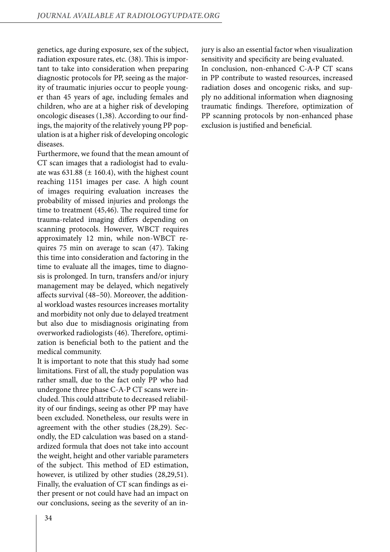genetics, age during exposure, sex of the subject, radiation exposure rates, etc. (38). This is important to take into consideration when preparing diagnostic protocols for PP, seeing as the majority of traumatic injuries occur to people younger than 45 years of age, including females and children, who are at a higher risk of developing oncologic diseases (1,38). According to our findings, the majority of the relatively young PP population is at a higher risk of developing oncologic diseases.

Furthermore, we found that the mean amount of CT scan images that a radiologist had to evaluate was  $631.88 \ (\pm 160.4)$ , with the highest count reaching 1151 images per case. A high count of images requiring evaluation increases the probability of missed injuries and prolongs the time to treatment (45,46). The required time for trauma-related imaging differs depending on scanning protocols. However, WBCT requires approximately 12 min, while non-WBCT requires 75 min on average to scan (47). Taking this time into consideration and factoring in the time to evaluate all the images, time to diagnosis is prolonged. In turn, transfers and/or injury management may be delayed, which negatively affects survival (48–50). Moreover, the additional workload wastes resources increases mortality and morbidity not only due to delayed treatment but also due to misdiagnosis originating from overworked radiologists (46). Therefore, optimization is beneficial both to the patient and the medical community.

It is important to note that this study had some limitations. First of all, the study population was rather small, due to the fact only PP who had undergone three phase C-A-P CT scans were included. This could attribute to decreased reliability of our findings, seeing as other PP may have been excluded. Nonetheless, our results were in agreement with the other studies (28,29). Secondly, the ED calculation was based on a standardized formula that does not take into account the weight, height and other variable parameters of the subject. This method of ED estimation, however, is utilized by other studies (28,29,51). Finally, the evaluation of CT scan findings as either present or not could have had an impact on our conclusions, seeing as the severity of an injury is also an essential factor when visualization sensitivity and specificity are being evaluated. In conclusion, non-enhanced C-A-P CT scans in PP contribute to wasted resources, increased radiation doses and oncogenic risks, and supply no additional information when diagnosing traumatic findings. Therefore, optimization of PP scanning protocols by non-enhanced phase exclusion is justified and beneficial.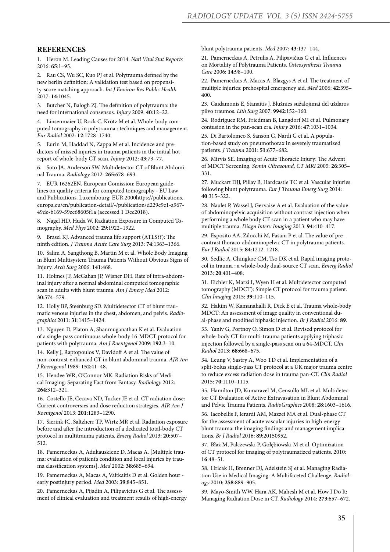#### **REFERENCES**

1. Heron M. Leading Causes for 2014. *Natl Vital Stat Reports* 2016: **65**:1–95.

2. Rau CS, Wu SC, Kuo PJ et al. Polytrauma defined by the new berlin definition: A validation test based on propensity-score matching approach. *Int J Environ Res Public Health* 2017: **14**:1045.

3. Butcher N, Balogh ZJ. The definition of polytrauma: the need for international consensus. *Injury* 2009: **40**:12–22.

4. Linsenmaier U, Rock C, Krötz M et al. Whole-body computed tomography in polytrauma : techniques and management. *Eur Radiol* 2002: **12**:1728–1740.

5. Eurin M, Haddad N, Zappa M et al. Incidence and predictors of missed injuries in trauma patients in the initial hot report of whole-body CT scan. *Injury* 2012: **43**:73–77.

6. Soto JA, Anderson SW. Multidetector CT of Blunt Abdominal Trauma. *Radiology* 2012: **265**:678–693.

7. EUR 16262EN. European Comission: European guidelines on quality criteria for computed tomography - EU Law and Publications. Luxembourg: EUR 2000https://publications. europa.eu/en/publication-detail/-/publication/d229c9e1-a967- 49de-b169-59ee68605f1a (accessed 1 Dec2018).

8. Nagel HD, Huda W. Radiation Exposure in Computed Tomography. *Med Phys* 2002: **29**:1922–1922.

9. Brasel KJ. Advanced trauma life support (ATLS??): The ninth edition. *J Trauma Acute Care Surg* 2013: **74**:1363–1366.

10. Salim A, Sangthong B, Martin M et al. Whole Body Imaging in Blunt Multisystem Trauma Patients Without Obvious Signs of Injury. *Arch Surg* 2006: **141**:468.

11. Holmes JF, McGahan JP, Wisner DH. Rate of intra-abdominal injury after a normal abdominal computed tomographic scan in adults with blunt trauma. *Am J Emerg Med* 2012: **30**:574–579.

12. Holly BP, Steenburg SD. Multidetector CT of blunt traumatic venous injuries in the chest, abdomen, and pelvis. *Radiographics* 2011: **31**:1415–1424.

13. Nguyen D, Platon A, Shanmuganathan K et al. Evaluation of a single-pass continuous whole-body 16-MDCT protocol for patients with polytrauma. *Am J Roentgenol* 2009: **192**:3–10.

14. Kelly J, Raptopoulos V, Davidoff A et al. The value of non-contrast-enhanced CT in blunt abdominal trauma. *AJR Am J Roentgenol* 1989: **152**:41–48.

15. Hendee WR, O'Connor MK. Radiation Risks of Medical Imaging: Separating Fact from Fantasy. *Radiology* 2012: **264**:312–321.

16. Costello JE, Cecava ND, Tucker JE et al. CT radiation dose: Current controversies and dose reduction strategies. *AJR Am J Roentgenol* 2013: **201**:1283–1290.

17. Sierink JC, Saltzherr TP, Wirtz MR et al. Radiation exposure before and after the introduction of a dedicated total-body CT protocol in multitrauma patients. *Emerg Radiol* 2013: **20**:507– 512.

18. Pamerneckas A, Adukauskiene D, Macas A. [Multiple trauma: evaluation of patient's condition and local injuries by trauma classification systems]. *Med* 2002: **38**:685–694.

19. Pamerneckas A, Macas A, Vaitkaitis D et al. Golden hour early postinjury period. *Med* 2003: **39**:845–851.

20. Pamerneckas A, Pijadin A, Pilipavicius G et al. The assessment of clinical evaluation and treatment results of high-energy blunt polytrauma patients. *Med* 2007: **43**:137–144.

21. Pamerneckas A, Petrulis A, Pilipavičius G et al. Influences on Mortality of Polytrauma Patients. *Osteosynthesis Trauma Care* 2006: **14**:98–100.

22. Pamerneckas A, Macas A, Blazgys A et al. The treatment of multiple injuries: prehospital emergency aid. *Med* 2006: **42**:395– 400.

23. Gaidamonis E, Stanaitis J. Blužnies sužalojimai dėl uždaros pilvo traumos. *Lith Surg* 2007: **9942**:152–160.

24. Rodriguez RM, Friedman B, Langdorf MI et al. Pulmonary contusion in the pan-scan era. *Injury* 2016: **47**:1031–1034.

25. Di Bartolomeo S, Sanson G, Nardi G et al. A population-based study on pneumothorax in severely traumatized patients. *J Trauma* 2001: **51**:677–682.

26. Mirvis SE. Imaging of Acute Thoracic Injury: The Advent of MDCT Screening. *Semin Ultrasound, CT MRI* 2005: **26**:305– 331.

27. Muckart DJJ, Pillay B, Hardcastle TC et al. Vascular injuries following blunt polytrauma. *Eur J Trauma Emerg Surg* 2014: **40**:315–322.

28. Naulet P, Wassel J, Gervaise A et al. Evaluation of the value of abdominopelvic acquisition without contrast injection when performing a whole body CT scan in a patient who may have multiple trauma. *Diagn Interv Imaging* 2013: **94**:410–417.

29. Esposito AA, Zilocchi M, Fasani P et al. The value of precontrast thoraco-abdominopelvic CT in polytrauma patients. *Eur J Radiol* 2015: **84**:1212–1218.

30. Sedlic A, Chingkoe CM, Tso DK et al. Rapid imaging protocol in trauma : a whole-body dual-source CT scan. *Emerg Radiol* 2013: **20**:401–408.

31. Eichler K, Marzi I, Wyen H et al. Multidetector computed tomography (MDCT): Simple CT protocol for trauma patient. *Clin Imaging* 2015: **39**:110–115.

32. Hakim W, Kamanahalli R, Dick E et al. Trauma whole-body MDCT: An assessment of image quality in conventional dual-phase and modified biphasic injection. *Br J Radiol* 2016: **89**.

33. Yaniv G, Portnoy O, Simon D et al. Revised protocol for whole-body CT for multi-trauma patients applying triphasic injection followed by a single-pass scan on a 64-MDCT. *Clin Radiol* 2013: **68**:668–675.

34. Leung V, Sastry A, Woo TD et al. Implementation of a split-bolus single-pass CT protocol at a UK major trauma centre to reduce excess radiation dose in trauma pan-CT. *Clin Radiol* 2015: **70**:1110–1115.

35. Hamilton JD, Kumaravel M, Censullo ML et al. Multidetector CT Evaluation of Active Extravasation in Blunt Abdominal and Pelvic Trauma Patients. *RadioGraphics* 2008: **28**:1603–1616.

36. Iacobellis F, Ierardi AM, Mazzei MA et al. Dual-phase CT for the assessment of acute vascular injuries in high-energy blunt trauma: the imaging findings and management implications. *Br J Radiol* 2016: **89**:20150952.

37. Błaż M, Palczewski P, Gołębiowski M et al. Optimization of CT protocol for imaging of polytraumatized patients. 2010: **16**:48–51.

38. Hricak H, Brenner DJ, Adelstein SJ et al. Managing Radiation Use in Medical Imaging: A Multifaceted Challenge. *Radiology* 2010: **258**:889–905.

39. Mayo-Smith WW, Hara AK, Mahesh M et al. How I Do It: Managing Radiation Dose in CT. *Radiology* 2014: **273**:657–672.